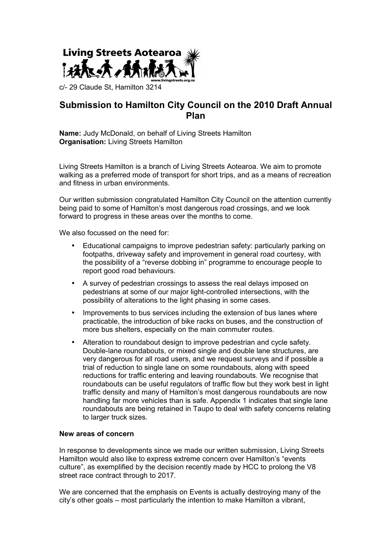

c/- 29 Claude St, Hamilton 3214

# **Submission to Hamilton City Council on the 2010 Draft Annual Plan**

**Name:** Judy McDonald, on behalf of Living Streets Hamilton **Organisation:** Living Streets Hamilton

Living Streets Hamilton is a branch of Living Streets Aotearoa. We aim to promote walking as a preferred mode of transport for short trips, and as a means of recreation and fitness in urban environments.

Our written submission congratulated Hamilton City Council on the attention currently being paid to some of Hamilton's most dangerous road crossings, and we look forward to progress in these areas over the months to come.

We also focussed on the need for:

- Educational campaigns to improve pedestrian safety: particularly parking on footpaths, driveway safety and improvement in general road courtesy, with the possibility of a "reverse dobbing in" programme to encourage people to report good road behaviours.
- A survey of pedestrian crossings to assess the real delays imposed on pedestrians at some of our major light-controlled intersections, with the possibility of alterations to the light phasing in some cases.
- Improvements to bus services including the extension of bus lanes where practicable, the introduction of bike racks on buses, and the construction of more bus shelters, especially on the main commuter routes.
- Alteration to roundabout design to improve pedestrian and cycle safety. Double-lane roundabouts, or mixed single and double lane structures, are very dangerous for all road users, and we request surveys and if possible a trial of reduction to single lane on some roundabouts, along with speed reductions for traffic entering and leaving roundabouts. We recognise that roundabouts can be useful regulators of traffic flow but they work best in light traffic density and many of Hamilton's most dangerous roundabouts are now handling far more vehicles than is safe. Appendix 1 indicates that single lane roundabouts are being retained in Taupo to deal with safety concerns relating to larger truck sizes.

#### **New areas of concern**

In response to developments since we made our written submission, Living Streets Hamilton would also like to express extreme concern over Hamilton's "events culture", as exemplified by the decision recently made by HCC to prolong the V8 street race contract through to 2017.

We are concerned that the emphasis on Events is actually destroying many of the city's other goals – most particularly the intention to make Hamilton a vibrant,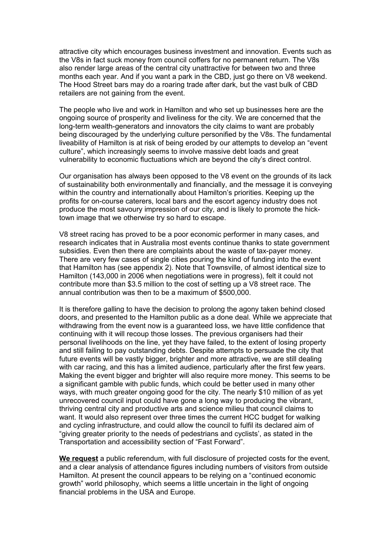attractive city which encourages business investment and innovation. Events such as the V8s in fact suck money from council coffers for no permanent return. The V8s also render large areas of the central city unattractive for between two and three months each year. And if you want a park in the CBD, just go there on V8 weekend. The Hood Street bars may do a roaring trade after dark, but the vast bulk of CBD retailers are not gaining from the event.

The people who live and work in Hamilton and who set up businesses here are the ongoing source of prosperity and liveliness for the city. We are concerned that the long-term wealth-generators and innovators the city claims to want are probably being discouraged by the underlying culture personified by the V8s. The fundamental liveability of Hamilton is at risk of being eroded by our attempts to develop an "event culture", which increasingly seems to involve massive debt loads and great vulnerability to economic fluctuations which are beyond the city's direct control.

Our organisation has always been opposed to the V8 event on the grounds of its lack of sustainability both environmentally and financially, and the message it is conveying within the country and internationally about Hamilton's priorities. Keeping up the profits for on-course caterers, local bars and the escort agency industry does not produce the most savoury impression of our city, and is likely to promote the hicktown image that we otherwise try so hard to escape.

V8 street racing has proved to be a poor economic performer in many cases, and research indicates that in Australia most events continue thanks to state government subsidies. Even then there are complaints about the waste of tax-payer money. There are very few cases of single cities pouring the kind of funding into the event that Hamilton has (see appendix 2). Note that Townsville, of almost identical size to Hamilton (143,000 in 2006 when negotiations were in progress), felt it could not contribute more than \$3.5 million to the cost of setting up a V8 street race. The annual contribution was then to be a maximum of \$500,000.

It is therefore galling to have the decision to prolong the agony taken behind closed doors, and presented to the Hamilton public as a done deal. While we appreciate that withdrawing from the event now is a guaranteed loss, we have little confidence that continuing with it will recoup those losses. The previous organisers had their personal livelihoods on the line, yet they have failed, to the extent of losing property and still failing to pay outstanding debts. Despite attempts to persuade the city that future events will be vastly bigger, brighter and more attractive, we are still dealing with car racing, and this has a limited audience, particularly after the first few years. Making the event bigger and brighter will also require more money. This seems to be a significant gamble with public funds, which could be better used in many other ways, with much greater ongoing good for the city. The nearly \$10 million of as yet unrecovered council input could have gone a long way to producing the vibrant, thriving central city and productive arts and science milieu that council claims to want. It would also represent over three times the current HCC budget for walking and cycling infrastructure, and could allow the council to fulfil its declared aim of "giving greater priority to the needs of pedestrians and cyclists', as stated in the Transportation and accessibility section of "Fast Forward".

**We request** a public referendum, with full disclosure of projected costs for the event, and a clear analysis of attendance figures including numbers of visitors from outside Hamilton. At present the council appears to be relying on a "continued economic growth" world philosophy, which seems a little uncertain in the light of ongoing financial problems in the USA and Europe.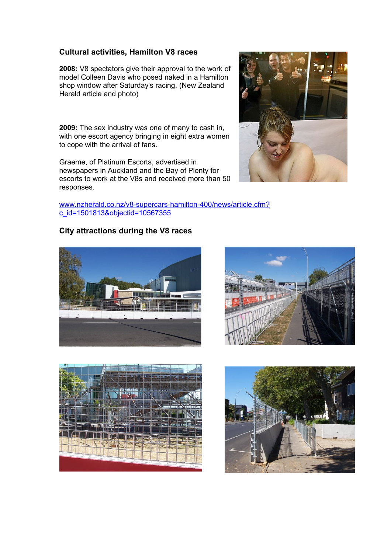## **Cultural activities, Hamilton V8 races**

**2008:** V8 spectators give their approval to the work of model Colleen Davis who posed naked in a Hamilton shop window after Saturday's racing. (New Zealand Herald article and photo)

**2009:** The sex industry was one of many to cash in, with one escort agency bringing in eight extra women to cope with the arrival of fans.

Graeme, of Platinum Escorts, advertised in newspapers in Auckland and the Bay of Plenty for escorts to work at the V8s and received more than 50 responses.

[www.nzherald.co.nz/v8-supercars-hamilton-400/news/article.cfm?](http://www.nzherald.co.nz/v8-supercars-hamilton-400/news/article.cfm?c_id=1501813&objectid=10567355) [c\\_id=1501813&objectid=10567355](http://www.nzherald.co.nz/v8-supercars-hamilton-400/news/article.cfm?c_id=1501813&objectid=10567355)

## **City attractions during the V8 races**









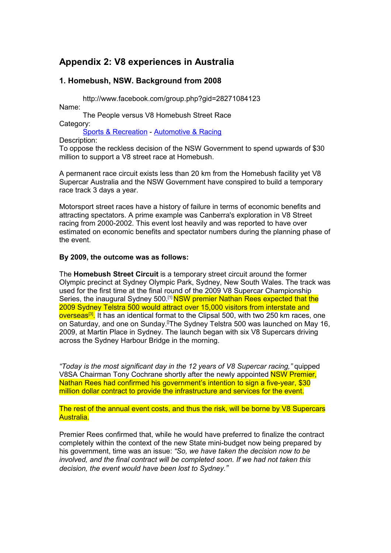# **Appendix 2: V8 experiences in Australia**

## **1. Homebush, NSW. Background from 2008**

http://www.facebook.com/group.php?gid=28271084123 Name:

The People versus V8 Homebush Street Race Category: Sports & Recreation - Automotive & Racing

Description:

To oppose the reckless decision of the NSW Government to spend upwards of \$30 million to support a V8 street race at Homebush.

A permanent race circuit exists less than 20 km from the Homebush facility yet V8 Supercar Australia and the NSW Government have conspired to build a temporary race track 3 days a year.

Motorsport street races have a history of failure in terms of economic benefits and attracting spectators. A prime example was Canberra's exploration in V8 Street racing from 2000-2002. This event lost heavily and was reported to have over estimated on economic benefits and spectator numbers during the planning phase of the event.

#### **By 2009, the outcome was as follows:**

The **Homebush Street Circuit** is a temporary street circuit around the former Olympic precinct at Sydney Olympic Park, Sydney, New South Wales. The track was used for the first time at the final round of the 2009 V8 Supercar Championship Series, the inaugural Sydney 500.<sup>[1]</sup> NSW premier Nathan Rees expected that the 2009 Sydney Telstra 500 would attract over 15,000 visitors from interstate and <mark>overseas<sup>[3]</sup>.</mark> It has an identical format to the Clipsal 500, with two 250 km races, one on Saturday, and one on Sunday.[]The Sydney Telstra 500 was launched on May 16, 2009, at Martin Place in Sydney. The launch began with six V8 Supercars driving across the Sydney Harbour Bridge in the morning.

*"Today is the most significant day in the 12 years of V8 Supercar racing,"* quipped V8SA Chairman Tony Cochrane shortly after the newly appointed NSW Premier, Nathan Rees had confirmed his government's intention to sign a five-year, \$30 million dollar contract to provide the infrastructure and services for the event.

The rest of the annual event costs, and thus the risk, will be borne by V8 Supercars Australia.

Premier Rees confirmed that, while he would have preferred to finalize the contract completely within the context of the new State mini-budget now being prepared by his government, time was an issue: *"So, we have taken the decision now to be involved, and the final contract will be completed soon. If we had not taken this decision, the event would have been lost to Sydney."*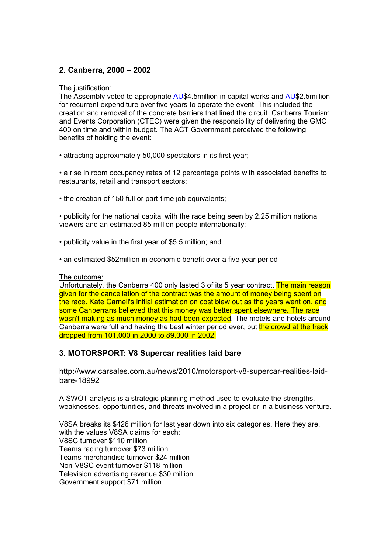### **2. Canberra, 2000 – 2002**

#### The justification:

The Assembly voted to appropriate [AU\\$](http://en.wikipedia.org/wiki/Australian_dollar)4.5million in capital works and AU\$2.5million for recurrent expenditure over five years to operate the event. This included the creation and removal of the concrete barriers that lined the circuit. Canberra Tourism and Events Corporation (CTEC) were given the responsibility of delivering the GMC 400 on time and within budget. The ACT Government perceived the following benefits of holding the event:

• attracting approximately 50,000 spectators in its first year;

• a rise in room occupancy rates of 12 percentage points with associated benefits to restaurants, retail and transport sectors;

• the creation of 150 full or part-time job equivalents;

• publicity for the national capital with the race being seen by 2.25 million national viewers and an estimated 85 million people internationally;

- publicity value in the first year of \$5.5 million; and
- an estimated \$52million in economic benefit over a five year period

#### The outcome:

Unfortunately, the Canberra 400 only lasted 3 of its 5 year contract. The main reason given for the cancellation of the contract was the amount of money being spent on the race. Kate Carnell's initial estimation on cost blew out as the years went on, and some Canberrans believed that this money was better spent elsewhere. The race wasn't making as much money as had been expected. The motels and hotels around Canberra were full and having the best winter period ever, but the crowd at the track dropped from 101,000 in 2000 to 89,000 in 2002.

### **3. MOTORSPORT: V8 Supercar realities laid bare**

http://www.carsales.com.au/news/2010/motorsport-v8-supercar-realities-laidbare-18992

A SWOT analysis is a strategic planning method used to evaluate the strengths, weaknesses, opportunities, and threats involved in a project or in a business venture.

V8SA breaks its \$426 million for last year down into six categories. Here they are, with the values V8SA claims for each: V8SC turnover \$110 million Teams racing turnover \$73 million Teams merchandise turnover \$24 million Non-V8SC event turnover \$118 million Television advertising revenue \$30 million Government support \$71 million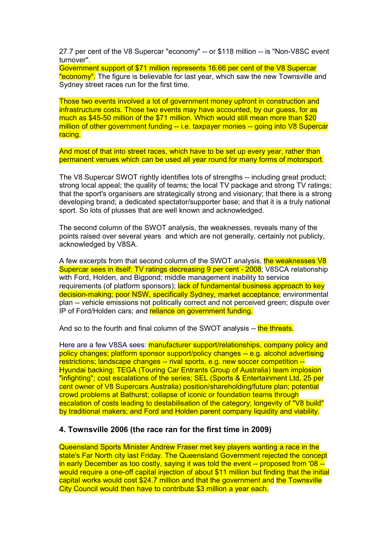27.7 per cent of the V8 Supercar "economy" -- or \$118 million -- is "Non-V8SC event turnover".

Government support of \$71 million represents 16.66 per cent of the V8 Supercar "**economy".** The figure is believable for last year, which saw the new Townsville and Sydney street races run for the first time.

Those two events involved a lot of government money upfront in construction and infrastructure costs. Those two events may have accounted, by our guess, for as much as \$45-50 million of the \$71 million. Which would still mean more than \$20 million of other government funding -- i.e. taxpayer monies -- going into V8 Supercar racing.

And most of that into street races, which have to be set up every year, rather than permanent venues which can be used all year round for many forms of motorsport.

The V8 Supercar SWOT rightly identifies lots of strengths -- including great product; strong local appeal; the quality of teams; the local TV package and strong TV ratings; that the sport's organisers are strategically strong and visionary; that there is a strong developing brand; a dedicated spectator/supporter base; and that it is a truly national sport. So lots of plusses that are well known and acknowledged.

The second column of the SWOT analysis, the weaknesses, reveals many of the points raised over several years and which are not generally, certainly not publicly, acknowledged by V8SA.

A few excerpts from that second column of the SWOT analysis, the weaknesses V8 Supercar sees in itself: TV ratings decreasing 9 per cent - 2008; V8SCA relationship with Ford, Holden, and Bigpond; middle management inability to service requirements (of platform sponsors); lack of fundamental business approach to key decision-making; poor NSW, specifically Sydney, market acceptance; environmental plan -- vehicle emissions not politically correct and not perceived green; dispute over IP of Ford/Holden cars; and reliance on government funding.

And so to the fourth and final column of the SWOT analysis -- the threats.

Here are a few V8SA sees: manufacturer support/relationships, company policy and policy changes; platform sponsor support/policy changes -- e.g. alcohol advertising restrictions; landscape changes -- rival sports, e.g. new soccer competition --Hyundai backing; TEGA (Touring Car Entrants Group of Australia) team implosion "infighting"; cost escalations of the series; SEL (Sports & Entertainment Ltd, 25 per cent owner of V8 Supercars Australia) position/shareholding/future plan; potential crowd problems at Bathurst; collapse of iconic or foundation teams through escalation of costs leading to destabilisation of the category; longevity of "V8 build" by traditional makers; and Ford and Holden parent company liquidity and viability.

#### **4. Townsville 2006 (the race ran for the first time in 2009)**

Queensland Sports Minister Andrew Fraser met key players wanting a race in the state's Far North city last Friday. The Queensland Government rejected the concept in early December as too costly, saying it was told the event -- proposed from '08 - would require a one-off capital injection of about \$11 million but finding that the initial capital works would cost \$24.7 million and that the government and the Townsville City Council would then have to contribute \$3 million a year each.